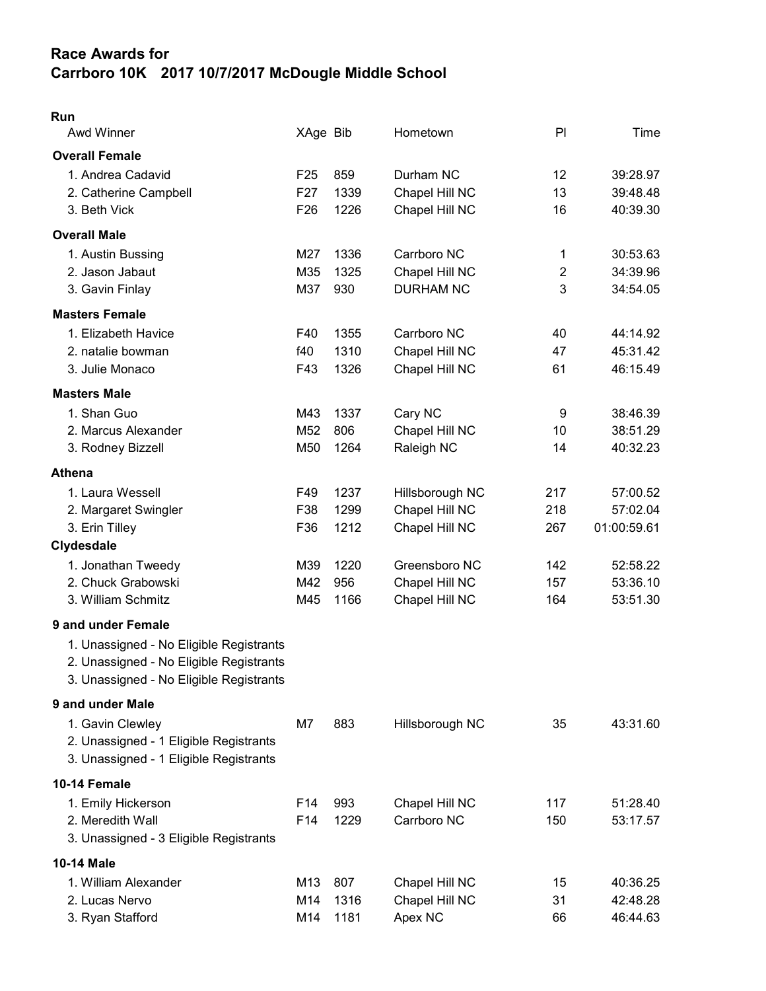## Race Awards for Carrboro 10K 2017 10/7/2017 McDougle Middle School

## Run

| <b>Awd Winner</b>                       | XAge Bib        |      | Hometown         | PI             | Time        |
|-----------------------------------------|-----------------|------|------------------|----------------|-------------|
| <b>Overall Female</b>                   |                 |      |                  |                |             |
| 1. Andrea Cadavid                       | F <sub>25</sub> | 859  | Durham NC        | 12             | 39:28.97    |
| 2. Catherine Campbell                   | F <sub>27</sub> | 1339 | Chapel Hill NC   | 13             | 39:48.48    |
| 3. Beth Vick                            | F <sub>26</sub> | 1226 | Chapel Hill NC   | 16             | 40:39.30    |
| <b>Overall Male</b>                     |                 |      |                  |                |             |
| 1. Austin Bussing                       | M27             | 1336 | Carrboro NC      | 1              | 30:53.63    |
| 2. Jason Jabaut                         | M35             | 1325 | Chapel Hill NC   | $\overline{2}$ | 34:39.96    |
| 3. Gavin Finlay                         | M37             | 930  | <b>DURHAM NC</b> | 3              | 34:54.05    |
| <b>Masters Female</b>                   |                 |      |                  |                |             |
| 1. Elizabeth Havice                     | F40             | 1355 | Carrboro NC      | 40             | 44:14.92    |
| 2. natalie bowman                       | f40             | 1310 | Chapel Hill NC   | 47             | 45:31.42    |
| 3. Julie Monaco                         | F43             | 1326 | Chapel Hill NC   | 61             | 46:15.49    |
| <b>Masters Male</b>                     |                 |      |                  |                |             |
| 1. Shan Guo                             | M43             | 1337 | Cary NC          | 9              | 38:46.39    |
| 2. Marcus Alexander                     | M <sub>52</sub> | 806  | Chapel Hill NC   | 10             | 38:51.29    |
| 3. Rodney Bizzell                       | M50             | 1264 | Raleigh NC       | 14             | 40:32.23    |
| <b>Athena</b>                           |                 |      |                  |                |             |
| 1. Laura Wessell                        | F49             | 1237 | Hillsborough NC  | 217            | 57:00.52    |
| 2. Margaret Swingler                    | F38             | 1299 | Chapel Hill NC   | 218            | 57:02.04    |
| 3. Erin Tilley                          | F36             | 1212 | Chapel Hill NC   | 267            | 01:00:59.61 |
| Clydesdale                              |                 |      |                  |                |             |
| 1. Jonathan Tweedy                      | M39             | 1220 | Greensboro NC    | 142            | 52:58.22    |
| 2. Chuck Grabowski                      | M42             | 956  | Chapel Hill NC   | 157            | 53:36.10    |
| 3. William Schmitz                      | M45             | 1166 | Chapel Hill NC   | 164            | 53:51.30    |
| 9 and under Female                      |                 |      |                  |                |             |
| 1. Unassigned - No Eligible Registrants |                 |      |                  |                |             |
| 2. Unassigned - No Eligible Registrants |                 |      |                  |                |             |
| 3. Unassigned - No Eligible Registrants |                 |      |                  |                |             |
| 9 and under Male                        |                 |      |                  |                |             |
| 1. Gavin Clewley                        | M7              | 883  | Hillsborough NC  | 35             | 43:31.60    |
| 2. Unassigned - 1 Eligible Registrants  |                 |      |                  |                |             |
| 3. Unassigned - 1 Eligible Registrants  |                 |      |                  |                |             |
| 10-14 Female                            |                 |      |                  |                |             |
| 1. Emily Hickerson                      | F14             | 993  | Chapel Hill NC   | 117            | 51:28.40    |
| 2. Meredith Wall                        | F14             | 1229 | Carrboro NC      | 150            | 53:17.57    |
| 3. Unassigned - 3 Eligible Registrants  |                 |      |                  |                |             |
| 10-14 Male                              |                 |      |                  |                |             |
| 1. William Alexander                    | M13             | 807  | Chapel Hill NC   | 15             | 40:36.25    |
| 2. Lucas Nervo                          | M14             | 1316 | Chapel Hill NC   | 31             | 42:48.28    |
| 3. Ryan Stafford                        | M14             | 1181 | Apex NC          | 66             | 46:44.63    |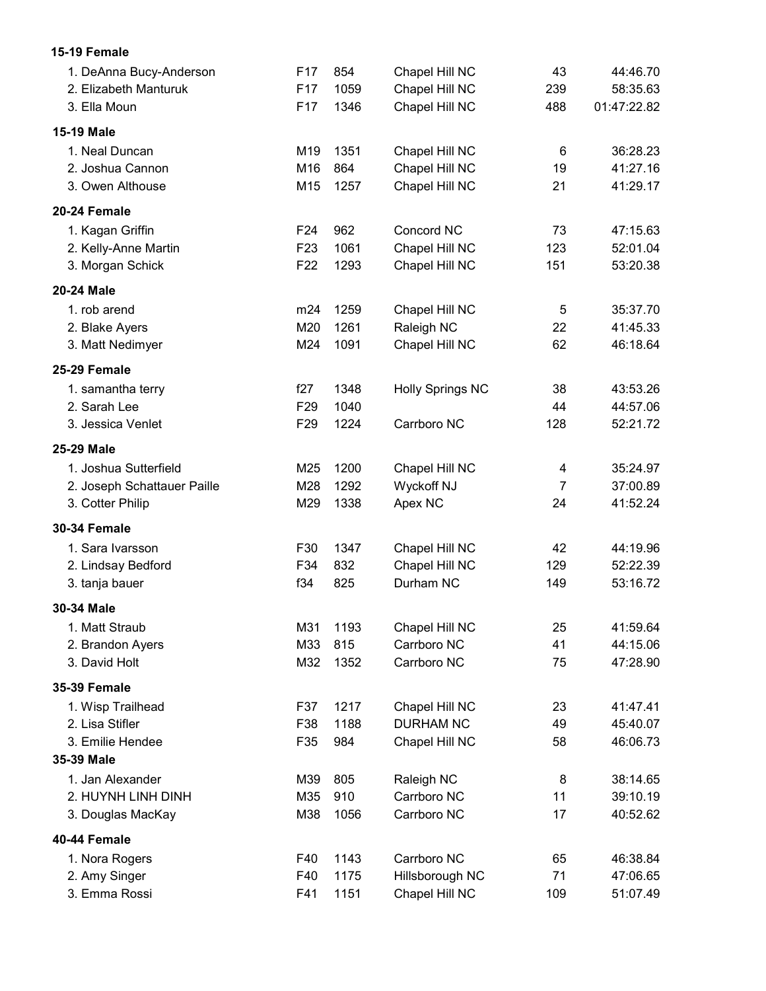| 15-19 Female                |                 |      |                         |                |             |
|-----------------------------|-----------------|------|-------------------------|----------------|-------------|
| 1. DeAnna Bucy-Anderson     | F <sub>17</sub> | 854  | Chapel Hill NC          | 43             | 44:46.70    |
| 2. Elizabeth Manturuk       | F <sub>17</sub> | 1059 | Chapel Hill NC          | 239            | 58:35.63    |
| 3. Ella Moun                | F <sub>17</sub> | 1346 | Chapel Hill NC          | 488            | 01:47:22.82 |
| <b>15-19 Male</b>           |                 |      |                         |                |             |
| 1. Neal Duncan              | M19             | 1351 | Chapel Hill NC          | 6              | 36:28.23    |
| 2. Joshua Cannon            | M16             | 864  | Chapel Hill NC          | 19             | 41:27.16    |
| 3. Owen Althouse            | M15             | 1257 | Chapel Hill NC          | 21             | 41:29.17    |
| 20-24 Female                |                 |      |                         |                |             |
| 1. Kagan Griffin            | F24             | 962  | Concord NC              | 73             | 47:15.63    |
| 2. Kelly-Anne Martin        | F <sub>23</sub> | 1061 | Chapel Hill NC          | 123            | 52:01.04    |
| 3. Morgan Schick            | F <sub>22</sub> | 1293 | Chapel Hill NC          | 151            | 53:20.38    |
| 20-24 Male                  |                 |      |                         |                |             |
| 1. rob arend                | m24             | 1259 | Chapel Hill NC          | 5              | 35:37.70    |
| 2. Blake Ayers              | M20             | 1261 | Raleigh NC              | 22             | 41:45.33    |
| 3. Matt Nedimyer            | M24             | 1091 | Chapel Hill NC          | 62             | 46:18.64    |
| 25-29 Female                |                 |      |                         |                |             |
| 1. samantha terry           | f27             | 1348 | <b>Holly Springs NC</b> | 38             | 43:53.26    |
| 2. Sarah Lee                | F <sub>29</sub> | 1040 |                         | 44             | 44:57.06    |
| 3. Jessica Venlet           | F <sub>29</sub> | 1224 | Carrboro NC             | 128            | 52:21.72    |
| 25-29 Male                  |                 |      |                         |                |             |
| 1. Joshua Sutterfield       | M25             | 1200 | Chapel Hill NC          | 4              | 35:24.97    |
| 2. Joseph Schattauer Paille | M28             | 1292 | Wyckoff NJ              | $\overline{7}$ | 37:00.89    |
| 3. Cotter Philip            | M29             | 1338 | Apex NC                 | 24             | 41:52.24    |
| <b>30-34 Female</b>         |                 |      |                         |                |             |
| 1. Sara Ivarsson            | F30             | 1347 | Chapel Hill NC          | 42             | 44:19.96    |
| 2. Lindsay Bedford          | F34             | 832  | Chapel Hill NC          | 129            | 52:22.39    |
| 3. tanja bauer              | f34             | 825  | Durham NC               | 149            | 53:16.72    |
| 30-34 Male                  |                 |      |                         |                |             |
| 1. Matt Straub              | M31             | 1193 | Chapel Hill NC          | 25             | 41:59.64    |
| 2. Brandon Ayers            | M33             | 815  | Carrboro NC             | 41             | 44:15.06    |
| 3. David Holt               | M32             | 1352 | Carrboro NC             | 75             | 47:28.90    |
| <b>35-39 Female</b>         |                 |      |                         |                |             |
| 1. Wisp Trailhead           | F37             | 1217 | Chapel Hill NC          | 23             | 41:47.41    |
| 2. Lisa Stifler             | F38             | 1188 | <b>DURHAM NC</b>        | 49             | 45:40.07    |
| 3. Emilie Hendee            | F35             | 984  | Chapel Hill NC          | 58             | 46:06.73    |
| 35-39 Male                  |                 |      |                         |                |             |
| 1. Jan Alexander            | M39             | 805  | Raleigh NC              | 8              | 38:14.65    |
| 2. HUYNH LINH DINH          | M35             | 910  | Carrboro NC             | 11             | 39:10.19    |
| 3. Douglas MacKay           | M38             | 1056 | Carrboro NC             | 17             | 40:52.62    |
| 40-44 Female                |                 |      |                         |                |             |
| 1. Nora Rogers              | F40             | 1143 | Carrboro NC             | 65             | 46:38.84    |
| 2. Amy Singer               | F40             | 1175 | Hillsborough NC         | 71             | 47:06.65    |
| 3. Emma Rossi               | F41             | 1151 | Chapel Hill NC          | 109            | 51:07.49    |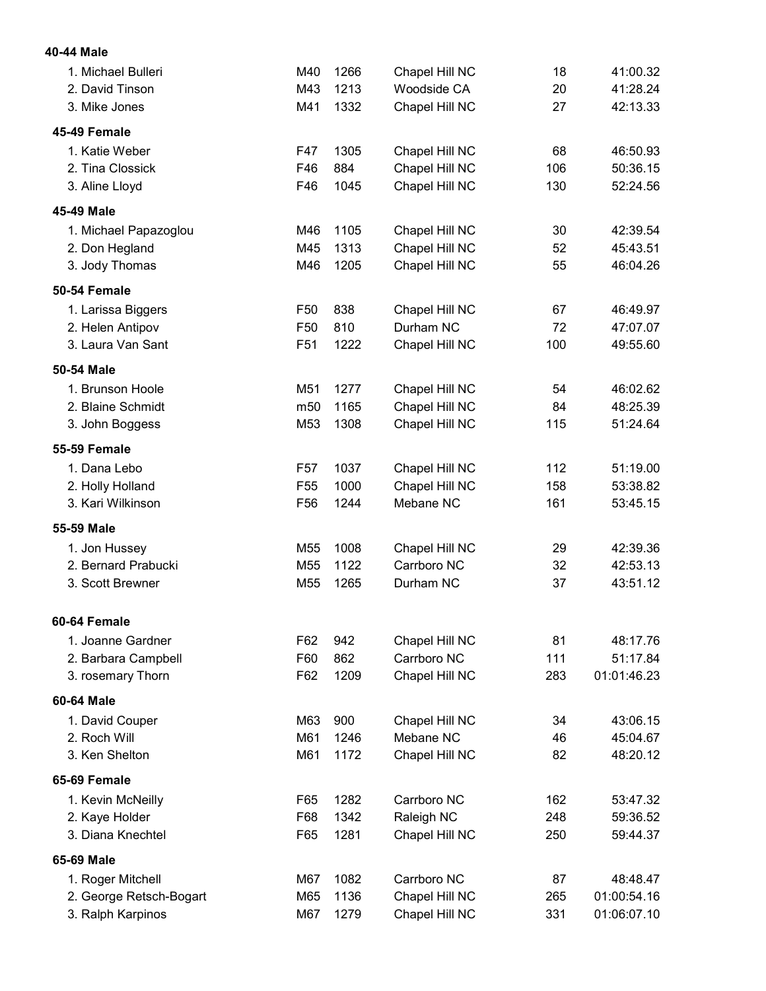| 40-44 Male              |                 |      |                    |     |             |
|-------------------------|-----------------|------|--------------------|-----|-------------|
| 1. Michael Bulleri      | M40             | 1266 | Chapel Hill NC     | 18  | 41:00.32    |
| 2. David Tinson         | M43             | 1213 | <b>Woodside CA</b> | 20  | 41:28.24    |
| 3. Mike Jones           | M41             | 1332 | Chapel Hill NC     | 27  | 42:13.33    |
| 45-49 Female            |                 |      |                    |     |             |
| 1. Katie Weber          | F47             | 1305 | Chapel Hill NC     | 68  | 46:50.93    |
| 2. Tina Clossick        | F46             | 884  | Chapel Hill NC     | 106 | 50:36.15    |
| 3. Aline Lloyd          | F46             | 1045 | Chapel Hill NC     | 130 | 52:24.56    |
| 45-49 Male              |                 |      |                    |     |             |
| 1. Michael Papazoglou   | M46             | 1105 | Chapel Hill NC     | 30  | 42:39.54    |
| 2. Don Hegland          | M45             | 1313 | Chapel Hill NC     | 52  | 45:43.51    |
| 3. Jody Thomas          | M46             | 1205 | Chapel Hill NC     | 55  | 46:04.26    |
| <b>50-54 Female</b>     |                 |      |                    |     |             |
| 1. Larissa Biggers      | F <sub>50</sub> | 838  | Chapel Hill NC     | 67  | 46:49.97    |
| 2. Helen Antipov        | F50             | 810  | Durham NC          | 72  | 47:07.07    |
| 3. Laura Van Sant       | F <sub>51</sub> | 1222 | Chapel Hill NC     | 100 | 49:55.60    |
| 50-54 Male              |                 |      |                    |     |             |
| 1. Brunson Hoole        | M51             | 1277 | Chapel Hill NC     | 54  | 46:02.62    |
| 2. Blaine Schmidt       | m <sub>50</sub> | 1165 | Chapel Hill NC     | 84  | 48:25.39    |
| 3. John Boggess         | M53             | 1308 | Chapel Hill NC     | 115 | 51:24.64    |
| <b>55-59 Female</b>     |                 |      |                    |     |             |
| 1. Dana Lebo            | F57             | 1037 | Chapel Hill NC     | 112 | 51:19.00    |
| 2. Holly Holland        | F <sub>55</sub> | 1000 | Chapel Hill NC     | 158 | 53:38.82    |
| 3. Kari Wilkinson       | F <sub>56</sub> | 1244 | Mebane NC          | 161 | 53:45.15    |
| 55-59 Male              |                 |      |                    |     |             |
| 1. Jon Hussey           | M55             | 1008 | Chapel Hill NC     | 29  | 42:39.36    |
| 2. Bernard Prabucki     | M55             | 1122 | Carrboro NC        | 32  | 42:53.13    |
| 3. Scott Brewner        | M55             | 1265 | Durham NC          | 37  | 43:51.12    |
| 60-64 Female            |                 |      |                    |     |             |
| 1. Joanne Gardner       | F62             | 942  | Chapel Hill NC     | 81  | 48:17.76    |
| 2. Barbara Campbell     | F60             | 862  | Carrboro NC        | 111 | 51:17.84    |
| 3. rosemary Thorn       | F62             | 1209 | Chapel Hill NC     | 283 | 01:01:46.23 |
| 60-64 Male              |                 |      |                    |     |             |
| 1. David Couper         | M63             | 900  | Chapel Hill NC     | 34  | 43:06.15    |
| 2. Roch Will            | M61             | 1246 | Mebane NC          | 46  | 45:04.67    |
| 3. Ken Shelton          | M61             | 1172 | Chapel Hill NC     | 82  | 48:20.12    |
| 65-69 Female            |                 |      |                    |     |             |
| 1. Kevin McNeilly       | F65             | 1282 | Carrboro NC        | 162 | 53:47.32    |
| 2. Kaye Holder          | F68             | 1342 | Raleigh NC         | 248 | 59:36.52    |
| 3. Diana Knechtel       | F65             | 1281 | Chapel Hill NC     | 250 | 59:44.37    |
| 65-69 Male              |                 |      |                    |     |             |
| 1. Roger Mitchell       | M67             | 1082 | Carrboro NC        | 87  | 48:48.47    |
| 2. George Retsch-Bogart | M65             | 1136 | Chapel Hill NC     | 265 | 01:00:54.16 |
| 3. Ralph Karpinos       | M67             | 1279 | Chapel Hill NC     | 331 | 01:06:07.10 |